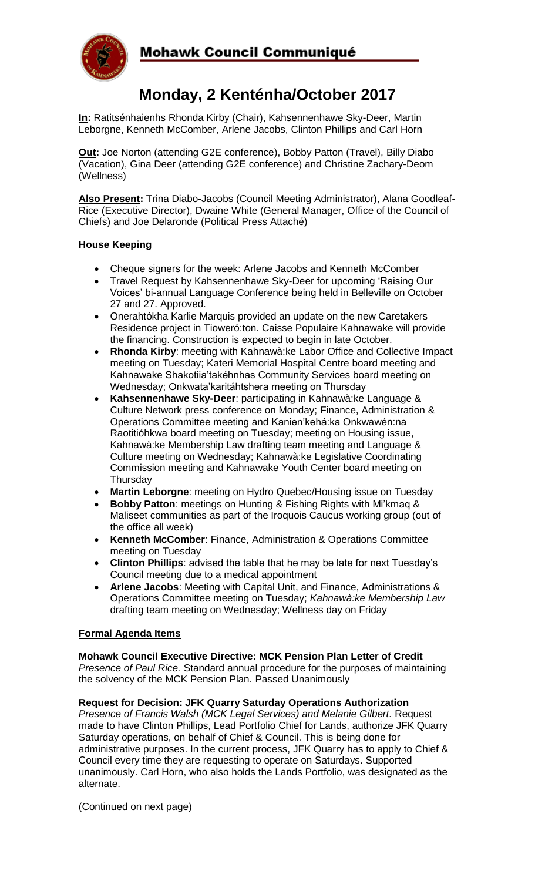

# **Monday, 2 Kenténha/October 2017**

**In:** Ratitsénhaienhs Rhonda Kirby (Chair), Kahsennenhawe Sky-Deer, Martin Leborgne, Kenneth McComber, Arlene Jacobs, Clinton Phillips and Carl Horn

**Out:** Joe Norton (attending G2E conference), Bobby Patton (Travel), Billy Diabo (Vacation), Gina Deer (attending G2E conference) and Christine Zachary-Deom (Wellness)

**Also Present:** Trina Diabo-Jacobs (Council Meeting Administrator), Alana Goodleaf-Rice (Executive Director), Dwaine White (General Manager, Office of the Council of Chiefs) and Joe Delaronde (Political Press Attaché)

# **House Keeping**

- Cheque signers for the week: Arlene Jacobs and Kenneth McComber
- Travel Request by Kahsennenhawe Sky-Deer for upcoming 'Raising Our Voices' bi-annual Language Conference being held in Belleville on October 27 and 27. Approved.
- Onerahtókha Karlie Marquis provided an update on the new Caretakers Residence project in Tioweró:ton. Caisse Populaire Kahnawake will provide the financing. Construction is expected to begin in late October.
- **Rhonda Kirby**: meeting with Kahnawà:ke Labor Office and Collective Impact meeting on Tuesday; Kateri Memorial Hospital Centre board meeting and Kahnawake Shakotiia'takéhnhas Community Services board meeting on Wednesday; Onkwata'karitáhtshera meeting on Thursday
- **Kahsennenhawe Sky-Deer**: participating in Kahnawà:ke Language & Culture Network press conference on Monday; Finance, Administration & Operations Committee meeting and Kanien'kehá:ka Onkwawén:na Raotitióhkwa board meeting on Tuesday; meeting on Housing issue, Kahnawà:ke Membership Law drafting team meeting and Language & Culture meeting on Wednesday; Kahnawà:ke Legislative Coordinating Commission meeting and Kahnawake Youth Center board meeting on **Thursday**
- **Martin Leborgne**: meeting on Hydro Quebec/Housing issue on Tuesday
- **Bobby Patton**: meetings on Hunting & Fishing Rights with Mi'kmaq & Maliseet communities as part of the Iroquois Caucus working group (out of the office all week)
- **Kenneth McComber**: Finance, Administration & Operations Committee meeting on Tuesday
- **Clinton Phillips**: advised the table that he may be late for next Tuesday's Council meeting due to a medical appointment
- **Arlene Jacobs**: Meeting with Capital Unit, and Finance, Administrations & Operations Committee meeting on Tuesday; *Kahnawà:ke Membership Law* drafting team meeting on Wednesday; Wellness day on Friday

# **Formal Agenda Items**

**Mohawk Council Executive Directive: MCK Pension Plan Letter of Credit** *Presence of Paul Rice.* Standard annual procedure for the purposes of maintaining the solvency of the MCK Pension Plan. Passed Unanimously

#### **Request for Decision: JFK Quarry Saturday Operations Authorization**

*Presence of Francis Walsh (MCK Legal Services) and Melanie Gilbert.* Request made to have Clinton Phillips, Lead Portfolio Chief for Lands, authorize JFK Quarry Saturday operations, on behalf of Chief & Council. This is being done for administrative purposes. In the current process, JFK Quarry has to apply to Chief & Council every time they are requesting to operate on Saturdays. Supported unanimously. Carl Horn, who also holds the Lands Portfolio, was designated as the alternate.

(Continued on next page)